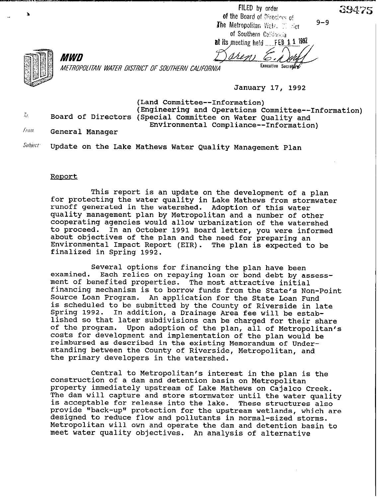FILED by order of the Board of Directors of The Metropolitan Water  $\mathbb{M}_{\text{eff}}$ of Southern California

at its meeting held  $FEB$  1 1 1992 rren.

īυ.

METROPOLITAN WATER DISTRICT OF SOUTHERN CALIFORNIA

January 17, 1992

Executive Secretary

(Land Committee--Information) (Engineering and Operations Committee--Information) Board of Directors (Special Committee on Water Quality and Environmental Compliance--Information)

Fram. General Manager

*MWD* 

Subject<sup>-</sup> Update on the Lake Mathews Water Quality Management Plan

## Renort

This report is an update on the development of a plan for protecting the water quality in Lake Mathews from stormwater runoff generated in the watershed. Adoption of this water quality management plan by Metropolitan and a number of other cooperating agencies would allow urbanization of the watershed<br>to proceed. In an October 1991 Board letter, you were informed In an October 1991 Board letter, you were informed about objectives of the plan and the need for preparing an Environmental Impact Report (EIR). The plan is expected to be finalized in Spring 1992.

Several options for financing the plan have been<br>examined. Each relies on repaying loan or bond debt by as Each relies on repaying loan or bond debt by assessment of benefited properties. The most attractive initial financing mechanism is to borrow funds from the State's Non-Point Source Loan Program. An application for the State Loan Fund is scheduled to be submitted by the County of Riverside in late In addition, a Drainage Area fee will be established so that later subdivisions can be charged for their share of the program. Upon adoption of the plan, all of Metropolitan's costs for development and implementation of the plan would be reimbursed as described in the existing Memorandum of Understanding between the County of Riverside, Metropolitan, and the primary developers in the watershed.

Central to Metropolitan's interest in the plan is the construction of a dam and detention basin on Metropolitan property immediately upstream of Lake Mathews on Cajalco Creek. The dam will capture and store stormwater until the water quality is acceptable for release into the lake. These structures also provide "back-up" protection for the upstream wetlands, which are designed to reduce flow and pollutants in normal-sized storms. Metropolitan will own and operate the dam and detention basin to meet water quality objectives. An analysis of alternative

39475

 $9 - 9$